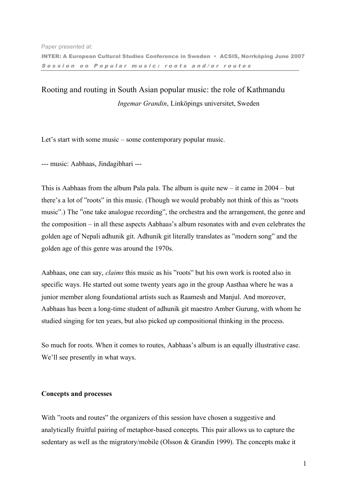# Rooting and routing in South Asian popular music: the role of Kathmandu *Ingemar Grandin*, Linköpings universitet, Sweden

Let's start with some music – some contemporary popular music.

--- music: Aabhaas, Jindagibhari ---

This is Aabhaas from the album Pala pala. The album is quite new – it came in 2004 – but there's a lot of "roots" in this music. (Though we would probably not think of this as "roots music".) The "one take analogue recording", the orchestra and the arrangement, the genre and the composition – in all these aspects Aabhaas's album resonates with and even celebrates the golden age of Nepali adhunik git. Adhunik git literally translates as "modern song" and the golden age of this genre was around the 1970s.

Aabhaas, one can say, *claims* this music as his "roots" but his own work is rooted also in specific ways. He started out some twenty years ago in the group Aasthaa where he was a junior member along foundational artists such as Raamesh and Manjul. And moreover, Aabhaas has been a long-time student of adhunik git maestro Amber Gurung, with whom he studied singing for ten years, but also picked up compositional thinking in the process.

So much for roots. When it comes to routes, Aabhaas's album is an equally illustrative case. We'll see presently in what ways.

## **Concepts and processes**

With "roots and routes" the organizers of this session have chosen a suggestive and analytically fruitful pairing of metaphor-based concepts. This pair allows us to capture the sedentary as well as the migratory/mobile (Olsson & Grandin 1999). The concepts make it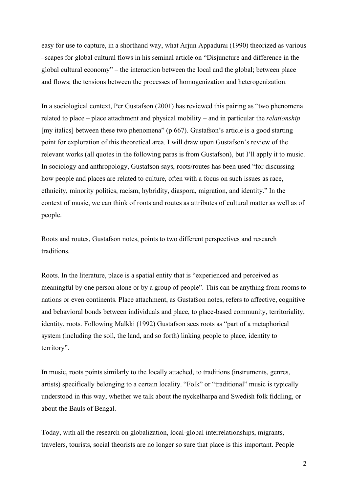easy for use to capture, in a shorthand way, what Arjun Appadurai (1990) theorized as various –scapes for global cultural flows in his seminal article on "Disjuncture and difference in the global cultural economy" – the interaction between the local and the global; between place and flows; the tensions between the processes of homogenization and heterogenization.

In a sociological context, Per Gustafson (2001) has reviewed this pairing as "two phenomena related to place – place attachment and physical mobility – and in particular the *relationship* [my italics] between these two phenomena" (p 667). Gustafson's article is a good starting point for exploration of this theoretical area. I will draw upon Gustafson's review of the relevant works (all quotes in the following paras is from Gustafson), but I'll apply it to music. In sociology and anthropology, Gustafson says, roots/routes has been used "for discussing how people and places are related to culture, often with a focus on such issues as race, ethnicity, minority politics, racism, hybridity, diaspora, migration, and identity." In the context of music, we can think of roots and routes as attributes of cultural matter as well as of people.

Roots and routes, Gustafson notes, points to two different perspectives and research traditions.

Roots. In the literature, place is a spatial entity that is "experienced and perceived as meaningful by one person alone or by a group of people". This can be anything from rooms to nations or even continents. Place attachment, as Gustafson notes, refers to affective, cognitive and behavioral bonds between individuals and place, to place-based community, territoriality, identity, roots. Following Malkki (1992) Gustafson sees roots as "part of a metaphorical system (including the soil, the land, and so forth) linking people to place, identity to territory".

In music, roots points similarly to the locally attached, to traditions (instruments, genres, artists) specifically belonging to a certain locality. "Folk" or "traditional" music is typically understood in this way, whether we talk about the nyckelharpa and Swedish folk fiddling, or about the Bauls of Bengal.

Today, with all the research on globalization, local-global interrelationships, migrants, travelers, tourists, social theorists are no longer so sure that place is this important. People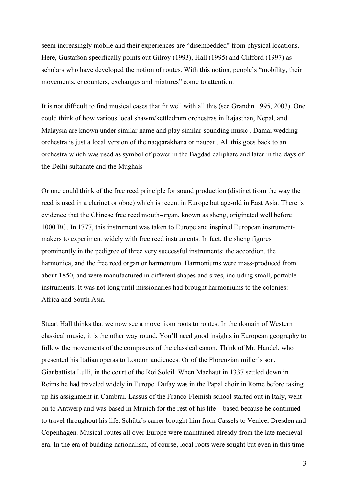seem increasingly mobile and their experiences are "disembedded" from physical locations. Here, Gustafson specifically points out Gilroy (1993), Hall (1995) and Clifford (1997) as scholars who have developed the notion of routes. With this notion, people's "mobility, their movements, encounters, exchanges and mixtures" come to attention.

It is not difficult to find musical cases that fit well with all this (see Grandin 1995, 2003). One could think of how various local shawm/kettledrum orchestras in Rajasthan, Nepal, and Malaysia are known under similar name and play similar-sounding music . Damai wedding orchestra is just a local version of the naqqarakhana or naubat . All this goes back to an orchestra which was used as symbol of power in the Bagdad caliphate and later in the days of the Delhi sultanate and the Mughals

Or one could think of the free reed principle for sound production (distinct from the way the reed is used in a clarinet or oboe) which is recent in Europe but age-old in East Asia. There is evidence that the Chinese free reed mouth-organ, known as sheng, originated well before 1000 BC. In 1777, this instrument was taken to Europe and inspired European instrumentmakers to experiment widely with free reed instruments. In fact, the sheng figures prominently in the pedigree of three very successful instruments: the accordion, the harmonica, and the free reed organ or harmonium. Harmoniums were mass-produced from about 1850, and were manufactured in different shapes and sizes, including small, portable instruments. It was not long until missionaries had brought harmoniums to the colonies: Africa and South Asia.

Stuart Hall thinks that we now see a move from roots to routes. In the domain of Western classical music, it is the other way round. You'll need good insights in European geography to follow the movements of the composers of the classical canon. Think of Mr. Handel, who presented his Italian operas to London audiences. Or of the Florenzian miller's son, Gianbattista Lulli, in the court of the Roi Soleil. When Machaut in 1337 settled down in Reims he had traveled widely in Europe. Dufay was in the Papal choir in Rome before taking up his assignment in Cambrai. Lassus of the Franco-Flemish school started out in Italy, went on to Antwerp and was based in Munich for the rest of his life – based because he continued to travel throughout his life. Schütz's carrer brought him from Cassels to Venice, Dresden and Copenhagen. Musical routes all over Europe were maintained already from the late medieval era. In the era of budding nationalism, of course, local roots were sought but even in this time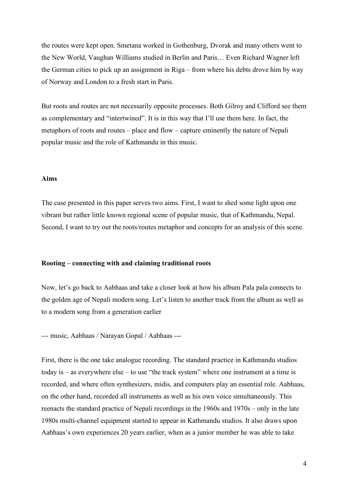the routes were kept open. Smetana worked in Gothenburg, Dvorak and many others went to the New World, Vaughan Williams studied in Berlin and Paris… Even Richard Wagner left the German cities to pick up an assignment in Riga – from where his debts drove him by way of Norway and London to a fresh start in Paris.

But roots and routes are not necessarily opposite processes. Both Gilroy and Clifford see them as complementary and "intertwined". It is in this way that I'll use them here. In fact, the metaphors of roots and routes – place and flow – capture eminently the nature of Nepali popular music and the role of Kathmandu in this music.

#### **Aims**

The case presented in this paper serves two aims. First, I want to shed some light upon one vibrant but rather little known regional scene of popular music, that of Kathmandu, Nepal. Second, I want to try out the roots/routes metaphor and concepts for an analysis of this scene.

## **Rooting – connecting with and claiming traditional roots**

Now, let's go back to Aabhaas and take a closer look at how his album Pala pala connects to the golden age of Nepali modern song. Let's listen to another track from the album as well as to a modern song from a generation earlier

--- music, Aabhaas / Narayan Gopal / Aabhaas ---

First, there is the one take analogue recording. The standard practice in Kathmandu studios today is – as everywhere else – to use "the track system" where one instrument at a time is recorded, and where often synthesizers, midis, and computers play an essential role. Aabhaas, on the other hand, recorded all instruments as well as his own voice simultaneously. This reenacts the standard practice of Nepali recordings in the 1960s and 1970s – only in the late 1980s multi-channel equipment started to appear in Kathmandu studios. It also draws upon Aabhaas's own experiences 20 years earlier, when as a junior member he was able to take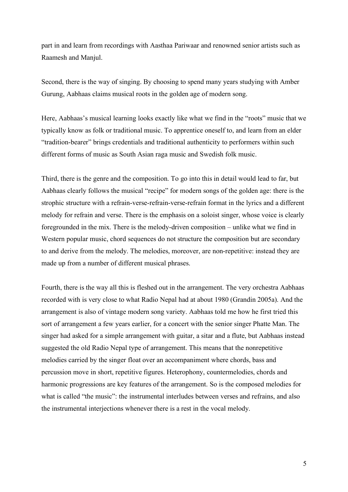part in and learn from recordings with Aasthaa Pariwaar and renowned senior artists such as Raamesh and Manjul.

Second, there is the way of singing. By choosing to spend many years studying with Amber Gurung, Aabhaas claims musical roots in the golden age of modern song.

Here, Aabhaas's musical learning looks exactly like what we find in the "roots" music that we typically know as folk or traditional music. To apprentice oneself to, and learn from an elder "tradition-bearer" brings credentials and traditional authenticity to performers within such different forms of music as South Asian raga music and Swedish folk music.

Third, there is the genre and the composition. To go into this in detail would lead to far, but Aabhaas clearly follows the musical "recipe" for modern songs of the golden age: there is the strophic structure with a refrain-verse-refrain-verse-refrain format in the lyrics and a different melody for refrain and verse. There is the emphasis on a soloist singer, whose voice is clearly foregrounded in the mix. There is the melody-driven composition – unlike what we find in Western popular music, chord sequences do not structure the composition but are secondary to and derive from the melody. The melodies, moreover, are non-repetitive: instead they are made up from a number of different musical phrases.

Fourth, there is the way all this is fleshed out in the arrangement. The very orchestra Aabhaas recorded with is very close to what Radio Nepal had at about 1980 (Grandin 2005a). And the arrangement is also of vintage modern song variety. Aabhaas told me how he first tried this sort of arrangement a few years earlier, for a concert with the senior singer Phatte Man. The singer had asked for a simple arrangement with guitar, a sitar and a flute, but Aabhaas instead suggested the old Radio Nepal type of arrangement. This means that the nonrepetitive melodies carried by the singer float over an accompaniment where chords, bass and percussion move in short, repetitive figures. Heterophony, countermelodies, chords and harmonic progressions are key features of the arrangement. So is the composed melodies for what is called "the music": the instrumental interludes between verses and refrains, and also the instrumental interjections whenever there is a rest in the vocal melody.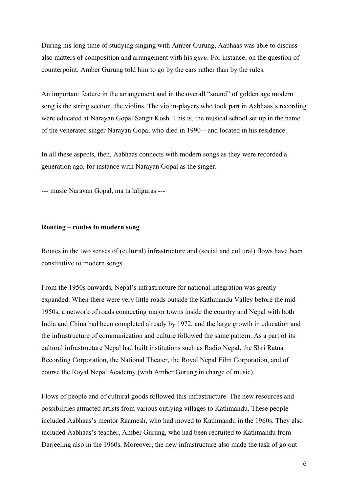During his long time of studying singing with Amber Gurung, Aabhaas was able to discuss also matters of composition and arrangement with his *guru*. For instance, on the question of counterpoint, Amber Gurung told him to go by the ears rather than by the rules.

An important feature in the arrangement and in the overall "sound" of golden age modern song is the string section, the violins. The violin-players who took part in Aabhaas's recording were educated at Narayan Gopal Sangit Kosh. This is, the musical school set up in the name of the venerated singer Narayan Gopal who died in 1990 – and located in his residence.

In all these aspects, then, Aabhaas connects with modern songs as they were recorded a generation ago, for instance with Narayan Gopal as the singer.

--- music Narayan Gopal, ma ta laliguras ---

## **Routing – routes to modern song**

Routes in the two senses of (cultural) infrastructure and (social and cultural) flows have been constitutive to modern songs.

From the 1950s onwards, Nepal's infrastructure for national integration was greatly expanded. When there were very little roads outside the Kathmandu Valley before the mid 1950s, a network of roads connecting major towns inside the country and Nepal with both India and China had been completed already by 1972, and the large growth in education and the infrastructure of communication and culture followed the same pattern. As a part of its cultural infrastructure Nepal had built institutions such as Radio Nepal, the Shri Ratna Recording Corporation, the National Theater, the Royal Nepal Film Corporation, and of course the Royal Nepal Academy (with Amber Gurung in charge of music).

Flows of people and of cultural goods followed this infrastructure. The new resources and possibilities attracted artists from various outlying villages to Kathmandu. These people included Aabhaas's mentor Raamesh, who had moved to Kathmandu in the 1960s. They also included Aabhaas's teacher, Amber Gurung, who had been recruited to Kathmandu from Darjeeling also in the 1960s. Moreover, the new infrastructure also made the task of go out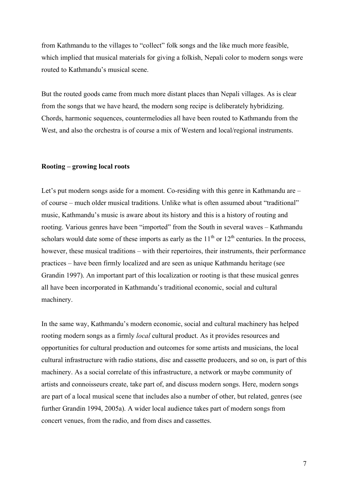from Kathmandu to the villages to "collect" folk songs and the like much more feasible, which implied that musical materials for giving a folkish, Nepali color to modern songs were routed to Kathmandu's musical scene.

But the routed goods came from much more distant places than Nepali villages. As is clear from the songs that we have heard, the modern song recipe is deliberately hybridizing. Chords, harmonic sequences, countermelodies all have been routed to Kathmandu from the West, and also the orchestra is of course a mix of Western and local/regional instruments.

## **Rooting – growing local roots**

Let's put modern songs aside for a moment. Co-residing with this genre in Kathmandu are – of course – much older musical traditions. Unlike what is often assumed about "traditional" music, Kathmandu's music is aware about its history and this is a history of routing and rooting. Various genres have been "imported" from the South in several waves – Kathmandu scholars would date some of these imports as early as the  $11<sup>th</sup>$  or  $12<sup>th</sup>$  centuries. In the process, however, these musical traditions – with their repertoires, their instruments, their performance practices – have been firmly localized and are seen as unique Kathmandu heritage (see Grandin 1997). An important part of this localization or rooting is that these musical genres all have been incorporated in Kathmandu's traditional economic, social and cultural machinery.

In the same way, Kathmandu's modern economic, social and cultural machinery has helped rooting modern songs as a firmly *local* cultural product. As it provides resources and opportunities for cultural production and outcomes for some artists and musicians, the local cultural infrastructure with radio stations, disc and cassette producers, and so on, is part of this machinery. As a social correlate of this infrastructure, a network or maybe community of artists and connoisseurs create, take part of, and discuss modern songs. Here, modern songs are part of a local musical scene that includes also a number of other, but related, genres (see further Grandin 1994, 2005a). A wider local audience takes part of modern songs from concert venues, from the radio, and from discs and cassettes.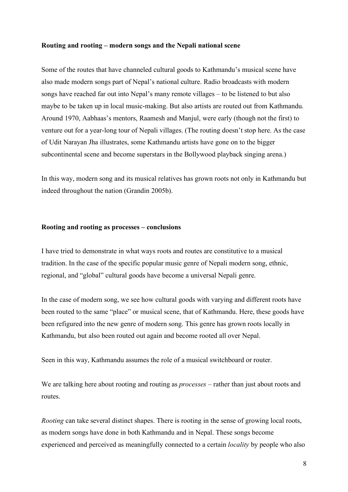## **Routing and rooting – modern songs and the Nepali national scene**

Some of the routes that have channeled cultural goods to Kathmandu's musical scene have also made modern songs part of Nepal's national culture. Radio broadcasts with modern songs have reached far out into Nepal's many remote villages – to be listened to but also maybe to be taken up in local music-making. But also artists are routed out from Kathmandu. Around 1970, Aabhaas's mentors, Raamesh and Manjul, were early (though not the first) to venture out for a year-long tour of Nepali villages. (The routing doesn't stop here. As the case of Udit Narayan Jha illustrates, some Kathmandu artists have gone on to the bigger subcontinental scene and become superstars in the Bollywood playback singing arena.)

In this way, modern song and its musical relatives has grown roots not only in Kathmandu but indeed throughout the nation (Grandin 2005b).

## **Rooting and rooting as processes – conclusions**

I have tried to demonstrate in what ways roots and routes are constitutive to a musical tradition. In the case of the specific popular music genre of Nepali modern song, ethnic, regional, and "global" cultural goods have become a universal Nepali genre.

In the case of modern song, we see how cultural goods with varying and different roots have been routed to the same "place" or musical scene, that of Kathmandu. Here, these goods have been refigured into the new genre of modern song. This genre has grown roots locally in Kathmandu, but also been routed out again and become rooted all over Nepal.

Seen in this way, Kathmandu assumes the role of a musical switchboard or router.

We are talking here about rooting and routing as *processes* – rather than just about roots and routes.

*Rooting* can take several distinct shapes. There is rooting in the sense of growing local roots, as modern songs have done in both Kathmandu and in Nepal. These songs become experienced and perceived as meaningfully connected to a certain *locality* by people who also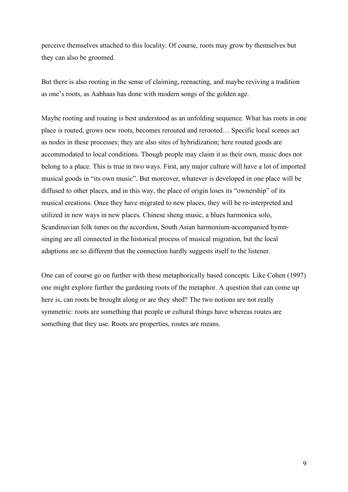perceive themselves attached to this locality. Of course, roots may grow by themselves but they can also be groomed.

But there is also rooting in the sense of claiming, reenacting, and maybe reviving a tradition as one's roots, as Aabhaas has done with modern songs of the golden age.

Maybe rooting and routing is best understood as an unfolding sequence. What has roots in one place is routed, grows new roots, becomes rerouted and rerooted… Specific local scenes act as nodes in these processes; they are also sites of hybridization; here routed goods are accommodated to local conditions. Though people may claim it as their own, music does not belong to a place. This is true in two ways. First, any major culture will have a lot of imported musical goods in "its own music". But moreover, whatever is developed in one place will be diffused to other places, and in this way, the place of origin loses its "ownership" of its musical creations. Once they have migrated to new places, they will be re-interpreted and utilized in new ways in new places. Chinese sheng music, a blues harmonica solo, Scandinavian folk tunes on the accordion, South Asian harmonium-accompanied hymnsinging are all connected in the historical process of musical migration, but the local adaptions are so different that the connection hardly suggests itself to the listener.

One can of course go on further with these metaphorically based concepts. Like Cohen (1997) one might explore further the gardening roots of the metaphor. A question that can come up here is, can roots be brought along or are they shed? The two notions are not really symmetric: roots are something that people or cultural things have whereas routes are something that they use. Roots are properties, routes are means.